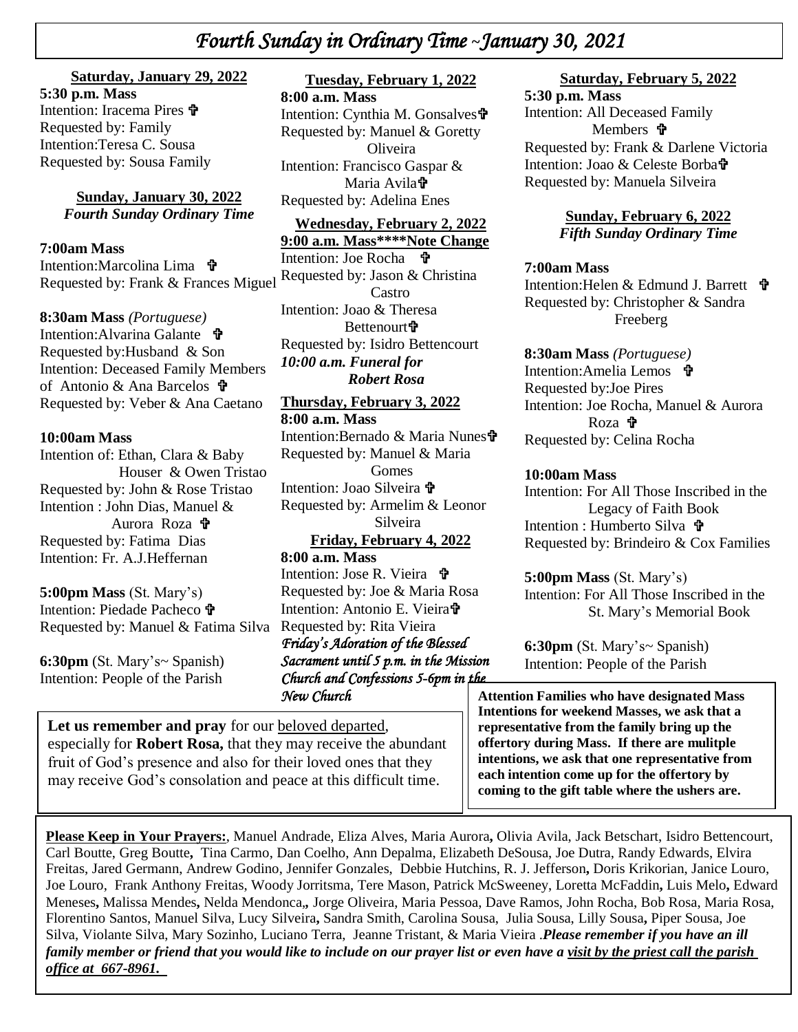# *Fourth Sunday in Ordinary Time* **~***January 30, 2021*

#### **Saturday, January 29, 2022**

menuon: tracema Pire<br>Requested by: Family  *\* Requested by: Sousa Family **5:30 p.m. Mass**  Intention: Iracema Pires Intention:Teresa C. Sousa

> **Sunday, January 30, 2022** *Fourth Sunday Ordinary Time*

**7:00am Mass** 

Intention:Marcolina Lima **t** Requested by: Frank & Frances Miguel

**8:30am Mass** *(Portuguese)*

Intention: Alvarina Galante Requested by:Husband & Son Intention: Deceased Family Members of Antonio & Ana Barcelos  $\mathbf{\hat{\mathbf{\hat{r}}}}$ Requested by: Veber & Ana Caetano

#### **10:00am Mass**

Intention of: Ethan, Clara & Baby Houser & Owen Tristao Requested by: John & Rose Tristao Intention : John Dias, Manuel & Aurora Roza **th** Requested by: Fatima Dias Intention: Fr. A.J.Heffernan

**5:00pm Mass** (St. Mary's) Intention: Piedade Pacheco Requested by: Manuel & Fatima Silva Requested by: Rita Vieira

**6:30pm** (St. Mary's~ Spanish) Intention: People of the Parish

**Tuesday, February 1, 2022**

**8:00 a.m. Mass** Intention: Cynthia M. Gonsalves Requested by: Manuel & Goretty **Oliveira** Intention: Francisco Gaspar & Maria Avila<sup>t</sup> Requested by: Adelina Enes

**Wednesday, February 2, 2022**

**9:00 a.m. Mass\*\*\*\*Note Change** Intention: Joe Rocha Requested by: Jason & Christina Castro Intention: Joao & Theresa Bettenourt**t** Requested by: Isidro Bettencourt *10:00 a.m. Funeral for Robert Rosa*

**Thursday, February 3, 2022 8:00 a.m. Mass** Intention:Bernado & Maria Nunes Requested by: Manuel & Maria Gomes Intention: Joao Silveira + Requested by: Armelim & Leonor Silveira **Friday, February 4, 2022 8:00 a.m. Mass**

Intention: Jose R. Vieira Requested by: Joe & Maria Rosa Intention: Antonio E. Vieira *Friday's Adoration of the Blessed Sacrament until 5 p.m. in the Mission Church and Confessions 5-6pm in the New Church* 

 Let us remember and pray for our **beloved** departed, especially for **Robert Rosa,** that they may receive the abundant fruit of God's presence and also for their loved ones that they may receive God's consolation and peace at this difficult time.

#### **Saturday, February 5, 2022**

**5:30 p.m. Mass**  Intention: All Deceased Family Members  $\mathbf{\hat{v}}$ Requested by: Frank & Darlene Victoria Intention: Joao & Celeste Borba Requested by: Manuela Silveira

> **Sunday, February 6, 2022** *Fifth Sunday Ordinary Time*

#### **7:00am Mass**

Intention:Helen & Edmund J. Barrett Requested by: Christopher & Sandra Freeberg

**8:30am Mass** *(Portuguese)* Intention:Amelia Lemos Requested by:Joe Pires Intention: Joe Rocha, Manuel & Aurora Roza 宁 Requested by: Celina Rocha

#### **10:00am Mass**

Intention: For All Those Inscribed in the Legacy of Faith Book Intention : Humberto Silva Requested by: Brindeiro & Cox Families

**5:00pm Mass** (St. Mary's) Intention: For All Those Inscribed in the St. Mary's Memorial Book

**6:30pm** (St. Mary's~ Spanish) Intention: People of the Parish

**Attention Families who have designated Mass Intentions for weekend Masses, we ask that a representative from the family bring up the offertory during Mass. If there are mulitple intentions, we ask that one representative from each intention come up for the offertory by coming to the gift table where the ushers are.**

**Please Keep in Your Prayers:**, Manuel Andrade, Eliza Alves, Maria Aurora**,** Olivia Avila, Jack Betschart, Isidro Bettencourt, Carl Boutte, Greg Boutte**,** Tina Carmo, Dan Coelho, Ann Depalma, Elizabeth DeSousa, Joe Dutra, Randy Edwards, Elvira Freitas, Jared Germann, Andrew Godino, Jennifer Gonzales, Debbie Hutchins, R. J. Jefferson**,** Doris Krikorian, Janice Louro, Joe Louro, Frank Anthony Freitas, Woody Jorritsma, Tere Mason, Patrick McSweeney, Loretta McFaddin**,** Luis Melo**,** Edward Meneses**,** Malissa Mendes**,** Nelda Mendonca,*,* Jorge Oliveira, Maria Pessoa, Dave Ramos, John Rocha, Bob Rosa, Maria Rosa, Florentino Santos, Manuel Silva, Lucy Silveira**,** Sandra Smith, Carolina Sousa, Julia Sousa, Lilly Sousa**,** Piper Sousa, Joe Silva, Violante Silva, Mary Sozinho, Luciano Terra, Jeanne Tristant, & Maria Vieira .*Please remember if you have an ill family member or friend that you would like to include on our prayer list or even have a visit by the priest call the parish office at 667-8961.*